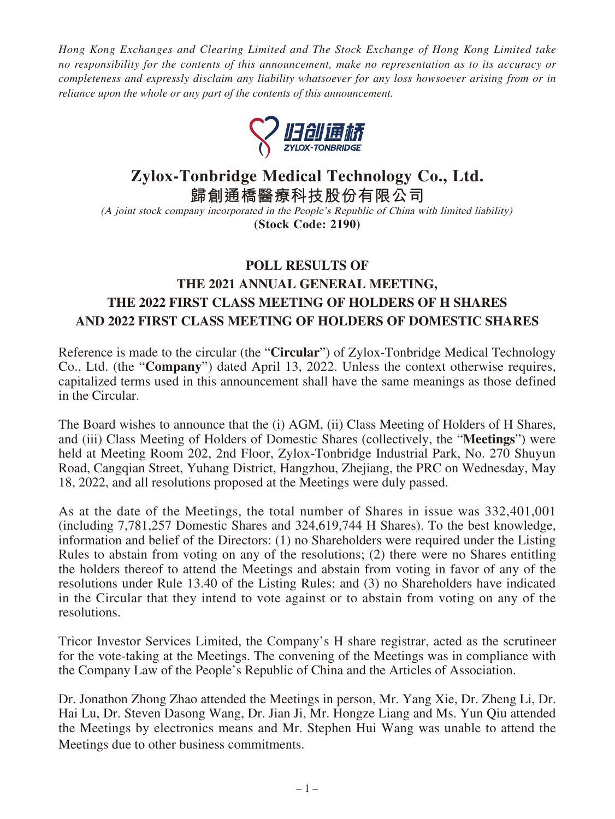*Hong Kong Exchanges and Clearing Limited and The Stock Exchange of Hong Kong Limited take no responsibility for the contents of this announcement, make no representation as to its accuracy or completeness and expressly disclaim any liability whatsoever for any loss howsoever arising from or in reliance upon the whole or any part of the contents of this announcement.*



# **Zylox-Tonbridge Medical Technology Co., Ltd.**

**歸創通橋醫療科技股份有限公司**

(A joint stock company incorporated in the People's Republic of China with limited liability) **(Stock Code: 2190)**

# **POLL RESULTS OF THE 2021 ANNUAL GENERAL MEETING, THE 2022 FIRST CLASS MEETING OF HOLDERS OF H SHARES AND 2022 FIRST CLASS MEETING OF HOLDERS OF DOMESTIC SHARES**

Reference is made to the circular (the "**Circular**") of Zylox-Tonbridge Medical Technology Co., Ltd. (the "**Company**") dated April 13, 2022. Unless the context otherwise requires, capitalized terms used in this announcement shall have the same meanings as those defined in the Circular.

The Board wishes to announce that the (i) AGM, (ii) Class Meeting of Holders of H Shares, and (iii) Class Meeting of Holders of Domestic Shares (collectively, the "**Meetings**") were held at Meeting Room 202, 2nd Floor, Zylox-Tonbridge Industrial Park, No. 270 Shuyun Road, Cangqian Street, Yuhang District, Hangzhou, Zhejiang, the PRC on Wednesday, May 18, 2022, and all resolutions proposed at the Meetings were duly passed.

As at the date of the Meetings, the total number of Shares in issue was 332,401,001 (including 7,781,257 Domestic Shares and 324,619,744 H Shares). To the best knowledge, information and belief of the Directors: (1) no Shareholders were required under the Listing Rules to abstain from voting on any of the resolutions; (2) there were no Shares entitling the holders thereof to attend the Meetings and abstain from voting in favor of any of the resolutions under Rule 13.40 of the Listing Rules; and (3) no Shareholders have indicated in the Circular that they intend to vote against or to abstain from voting on any of the resolutions.

Tricor Investor Services Limited, the Company's H share registrar, acted as the scrutineer for the vote-taking at the Meetings. The convening of the Meetings was in compliance with the Company Law of the People's Republic of China and the Articles of Association.

Dr. Jonathon Zhong Zhao attended the Meetings in person, Mr. Yang Xie, Dr. Zheng Li, Dr. Hai Lu, Dr. Steven Dasong Wang, Dr. Jian Ji, Mr. Hongze Liang and Ms. Yun Qiu attended the Meetings by electronics means and Mr. Stephen Hui Wang was unable to attend the Meetings due to other business commitments.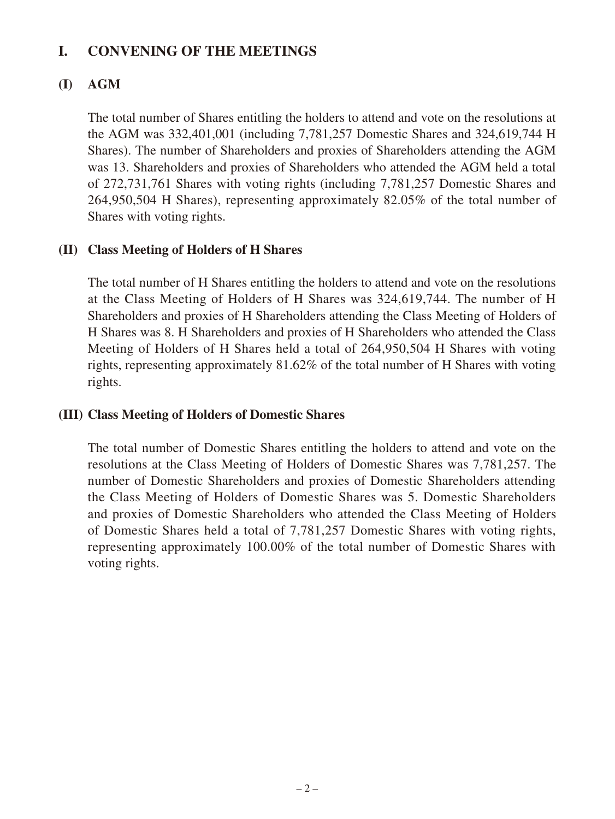## **I. CONVENING OF THE MEETINGS**

### **(I) AGM**

The total number of Shares entitling the holders to attend and vote on the resolutions at the AGM was 332,401,001 (including 7,781,257 Domestic Shares and 324,619,744 H Shares). The number of Shareholders and proxies of Shareholders attending the AGM was 13. Shareholders and proxies of Shareholders who attended the AGM held a total of 272,731,761 Shares with voting rights (including 7,781,257 Domestic Shares and 264,950,504 H Shares), representing approximately 82.05% of the total number of Shares with voting rights.

### **(II) Class Meeting of Holders of H Shares**

The total number of H Shares entitling the holders to attend and vote on the resolutions at the Class Meeting of Holders of H Shares was 324,619,744. The number of H Shareholders and proxies of H Shareholders attending the Class Meeting of Holders of H Shares was 8. H Shareholders and proxies of H Shareholders who attended the Class Meeting of Holders of H Shares held a total of 264,950,504 H Shares with voting rights, representing approximately 81.62% of the total number of H Shares with voting rights.

### **(III) Class Meeting of Holders of Domestic Shares**

The total number of Domestic Shares entitling the holders to attend and vote on the resolutions at the Class Meeting of Holders of Domestic Shares was 7,781,257. The number of Domestic Shareholders and proxies of Domestic Shareholders attending the Class Meeting of Holders of Domestic Shares was 5. Domestic Shareholders and proxies of Domestic Shareholders who attended the Class Meeting of Holders of Domestic Shares held a total of 7,781,257 Domestic Shares with voting rights, representing approximately 100.00% of the total number of Domestic Shares with voting rights.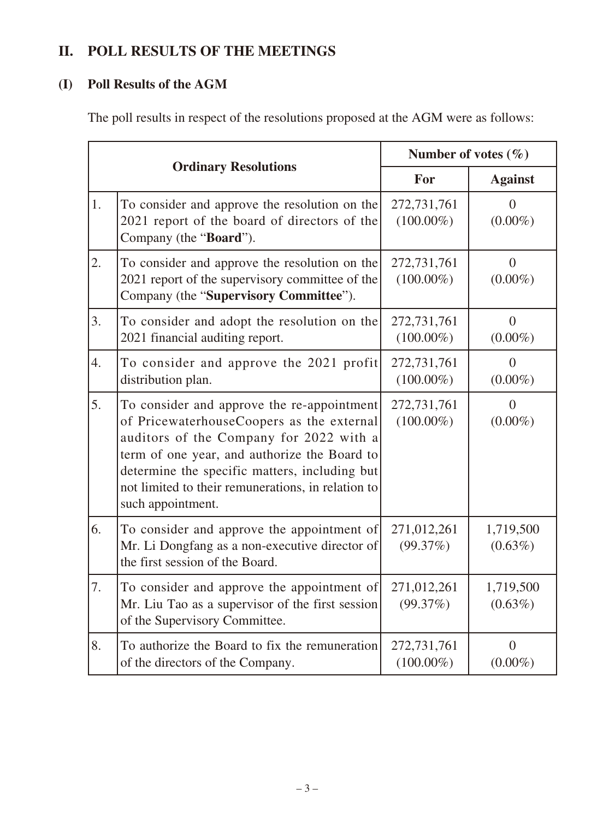# **II. POLL RESULTS OF THE MEETINGS**

## **(I) Poll Results of the AGM**

The poll results in respect of the resolutions proposed at the AGM were as follows:

|    |                                                                                                                                                                                                                                                                                                                | Number of votes $(\% )$     |                              |
|----|----------------------------------------------------------------------------------------------------------------------------------------------------------------------------------------------------------------------------------------------------------------------------------------------------------------|-----------------------------|------------------------------|
|    | <b>Ordinary Resolutions</b>                                                                                                                                                                                                                                                                                    | For                         | <b>Against</b>               |
| 1. | To consider and approve the resolution on the<br>2021 report of the board of directors of the<br>Company (the "Board").                                                                                                                                                                                        | 272,731,761<br>$(100.00\%)$ | $\overline{0}$<br>$(0.00\%)$ |
| 2. | To consider and approve the resolution on the<br>2021 report of the supervisory committee of the<br>Company (the "Supervisory Committee").                                                                                                                                                                     | 272,731,761<br>$(100.00\%)$ | $\overline{0}$<br>$(0.00\%)$ |
| 3. | To consider and adopt the resolution on the<br>2021 financial auditing report.                                                                                                                                                                                                                                 | 272,731,761<br>$(100.00\%)$ | $\overline{0}$<br>$(0.00\%)$ |
| 4. | To consider and approve the 2021 profit<br>distribution plan.                                                                                                                                                                                                                                                  | 272,731,761<br>$(100.00\%)$ | $\Omega$<br>$(0.00\%)$       |
| 5. | To consider and approve the re-appointment<br>of PricewaterhouseCoopers as the external<br>auditors of the Company for 2022 with a<br>term of one year, and authorize the Board to<br>determine the specific matters, including but<br>not limited to their remunerations, in relation to<br>such appointment. | 272,731,761<br>$(100.00\%)$ | $\overline{0}$<br>$(0.00\%)$ |
| 6. | To consider and approve the appointment of<br>Mr. Li Dongfang as a non-executive director of<br>the first session of the Board.                                                                                                                                                                                | 271,012,261<br>(99.37%)     | 1,719,500<br>$(0.63\%)$      |
| 7. | To consider and approve the appointment of<br>Mr. Liu Tao as a supervisor of the first session<br>of the Supervisory Committee.                                                                                                                                                                                | 271,012,261<br>(99.37%)     | 1,719,500<br>$(0.63\%)$      |
| 8. | To authorize the Board to fix the remuneration<br>of the directors of the Company.                                                                                                                                                                                                                             | 272,731,761<br>$(100.00\%)$ | $\overline{0}$<br>$(0.00\%)$ |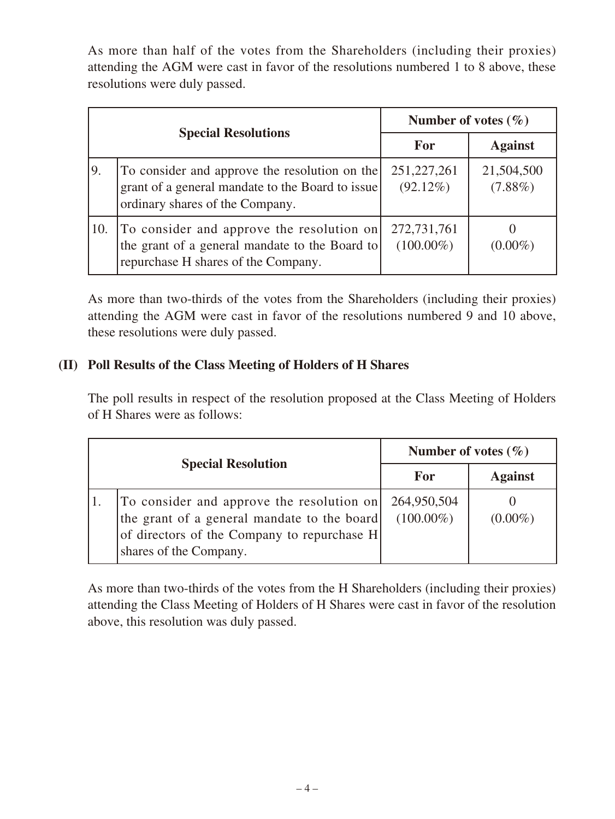As more than half of the votes from the Shareholders (including their proxies) attending the AGM were cast in favor of the resolutions numbered 1 to 8 above, these resolutions were duly passed.

| <b>Special Resolutions</b> |                                                                                                                                      | Number of votes $(\% )$      |                          |
|----------------------------|--------------------------------------------------------------------------------------------------------------------------------------|------------------------------|--------------------------|
|                            |                                                                                                                                      | For                          | <b>Against</b>           |
| 9.                         | To consider and approve the resolution on the<br>grant of a general mandate to the Board to issue<br>ordinary shares of the Company. | 251, 227, 261<br>$(92.12\%)$ | 21,504,500<br>$(7.88\%)$ |
| 10.                        | To consider and approve the resolution on<br>the grant of a general mandate to the Board to<br>repurchase H shares of the Company.   | 272,731,761<br>$(100.00\%)$  | $(0.00\%)$               |

As more than two-thirds of the votes from the Shareholders (including their proxies) attending the AGM were cast in favor of the resolutions numbered 9 and 10 above, these resolutions were duly passed.

## **(II) Poll Results of the Class Meeting of Holders of H Shares**

The poll results in respect of the resolution proposed at the Class Meeting of Holders of H Shares were as follows:

| <b>Special Resolution</b> |                                                                                                                                                                   | Number of votes $(\% )$     |                |
|---------------------------|-------------------------------------------------------------------------------------------------------------------------------------------------------------------|-----------------------------|----------------|
|                           |                                                                                                                                                                   | For                         | <b>Against</b> |
|                           | To consider and approve the resolution on<br>the grant of a general mandate to the board<br>of directors of the Company to repurchase H<br>shares of the Company. | 264,950,504<br>$(100.00\%)$ | $(0.00\%)$     |

As more than two-thirds of the votes from the H Shareholders (including their proxies) attending the Class Meeting of Holders of H Shares were cast in favor of the resolution above, this resolution was duly passed.